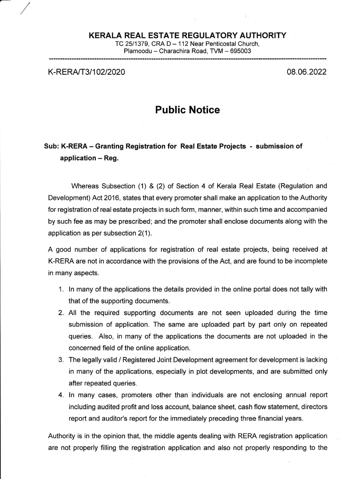## KERALA REAL ESTATE REGULATORY AUTHORITY

TC 25/1379, CRA D - 112 Near Penticostal Church, Plamoodu - Charachira Road, TVM - 695003

K-RERA/T3/102/2020 08.06.2022

## Public Notice

## Sub: K-RERA - Granting Registration for Real Estate Projects - submission of application  $-$  Reg.

Whereas Subsection (1) & (2) of Section 4 of Kerala Real Estate (Regulation and Development) Act 2016, states that every promoter shall make an application to the Authority for registration of real estate projects in such form, manner, within such time and accompanied by such fee as may be prescribed; and the promoter shall enclose documents along with the application as per subsection 2(1).

A good number of applications for registration of real estate projects, being received at K-RERA are not in accordance with the provisions of the Act, and are found to be incomplete in many aspects.

- 1. ln many of the applications the details provided in the online portal does not tally with that of the supporting documents.
- 2. All the required supporting documents are not seen uploaded during the time submission of application. The same are uploaded part by part only on repeated queries. Also, in many of the applications the documents are not uploaded in the concerned field of the online application.
- 3. The legally valid / Registered Joint Development agreement for development is lacking in many of the applications, especially in plot developments, and are submitted only after repeated queries.
- 4. ln many cases, promoters other than individuals are not enclosing annual report including audited profit and loss account, balance sheet, cash flow statement, directors report and auditor's report for the immediately preceding three financial years.

Authority is in the opinion that, the middle agents dealing with RERA registration application are not properly filling the registration application and also not properly responding to the